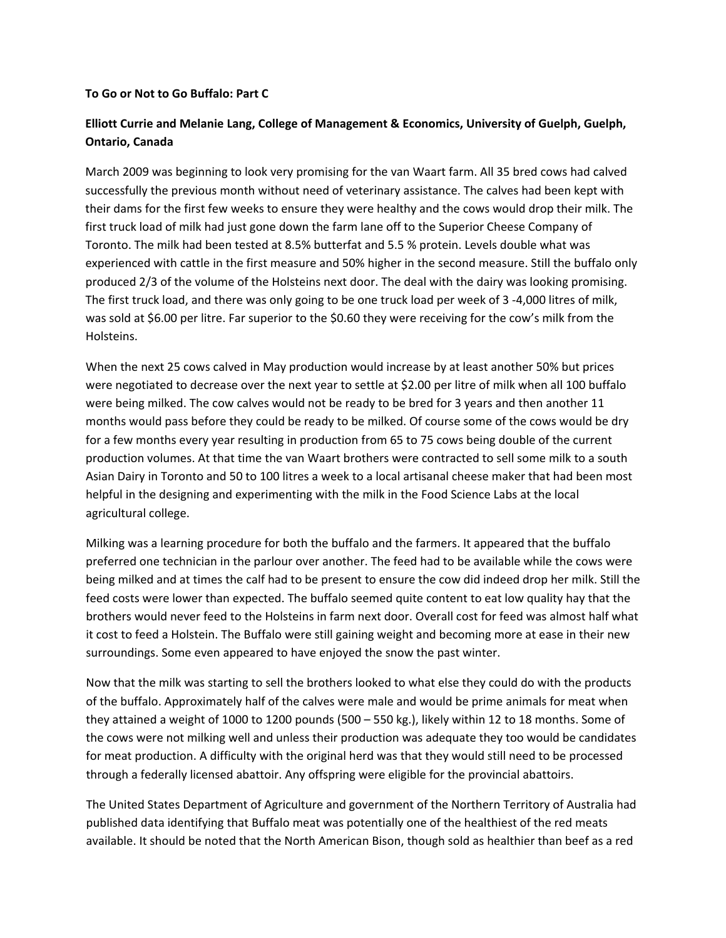## **To Go or Not to Go Buffalo: Part C**

## **Elliott Currie and Melanie Lang, College of Management & Economics, University of Guelph, Guelph, Ontario, Canada**

March 2009 was beginning to look very promising for the van Waart farm. All 35 bred cows had calved successfully the previous month without need of veterinary assistance. The calves had been kept with their dams for the first few weeks to ensure they were healthy and the cows would drop their milk. The first truck load of milk had just gone down the farm lane off to the Superior Cheese Company of Toronto. The milk had been tested at 8.5% butterfat and 5.5 % protein. Levels double what was experienced with cattle in the first measure and 50% higher in the second measure. Still the buffalo only produced 2/3 of the volume of the Holsteins next door. The deal with the dairy was looking promising. The first truck load, and there was only going to be one truck load per week of 3 ‐4,000 litres of milk, was sold at \$6.00 per litre. Far superior to the \$0.60 they were receiving for the cow's milk from the Holsteins.

When the next 25 cows calved in May production would increase by at least another 50% but prices were negotiated to decrease over the next year to settle at \$2.00 per litre of milk when all 100 buffalo were being milked. The cow calves would not be ready to be bred for 3 years and then another 11 months would pass before they could be ready to be milked. Of course some of the cows would be dry for a few months every year resulting in production from 65 to 75 cows being double of the current production volumes. At that time the van Waart brothers were contracted to sell some milk to a south Asian Dairy in Toronto and 50 to 100 litres a week to a local artisanal cheese maker that had been most helpful in the designing and experimenting with the milk in the Food Science Labs at the local agricultural college.

Milking was a learning procedure for both the buffalo and the farmers. It appeared that the buffalo preferred one technician in the parlour over another. The feed had to be available while the cows were being milked and at times the calf had to be present to ensure the cow did indeed drop her milk. Still the feed costs were lower than expected. The buffalo seemed quite content to eat low quality hay that the brothers would never feed to the Holsteins in farm next door. Overall cost for feed was almost half what it cost to feed a Holstein. The Buffalo were still gaining weight and becoming more at ease in their new surroundings. Some even appeared to have enjoyed the snow the past winter.

Now that the milk was starting to sell the brothers looked to what else they could do with the products of the buffalo. Approximately half of the calves were male and would be prime animals for meat when they attained a weight of 1000 to 1200 pounds (500 – 550 kg.), likely within 12 to 18 months. Some of the cows were not milking well and unless their production was adequate they too would be candidates for meat production. A difficulty with the original herd was that they would still need to be processed through a federally licensed abattoir. Any offspring were eligible for the provincial abattoirs.

The United States Department of Agriculture and government of the Northern Territory of Australia had published data identifying that Buffalo meat was potentially one of the healthiest of the red meats available. It should be noted that the North American Bison, though sold as healthier than beef as a red